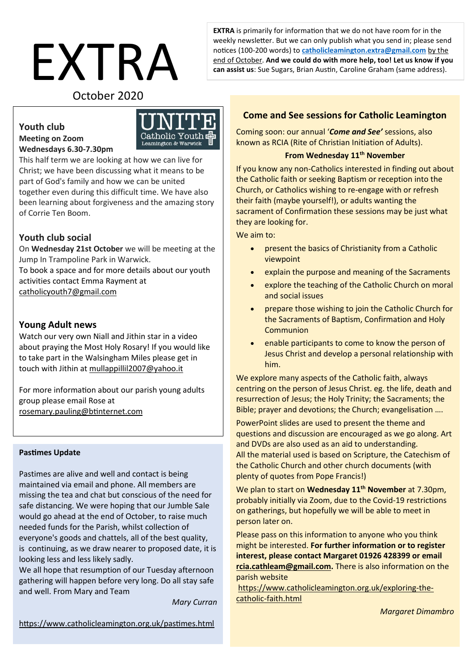# EXTRA October 2020

**EXTRA** is primarily for information that we do not have room for in the weekly newsletter. But we can only publish what you send in; please send notices (100-200 words) to **[catholicleamington.extra@gmail.com](mailto:catholicleamington.extra@gmail.com)** by the end of October. **And we could do with more help, too! Let us know if you can assist us**: Sue Sugars, Brian Austin, Caroline Graham (same address).

# **Youth club Meeting on Zoom Wednesdays 6.30-7.30pm**



This half term we are looking at how we can live for Christ; we have been discussing what it means to be part of God's family and how we can be united together even during this difficult time. We have also been learning about forgiveness and the amazing story of Corrie Ten Boom.

# **Youth club social**

On **Wednesday 21st October** we will be meeting at the Jump In Trampoline Park in Warwick. To book a space and for more details about our youth activities contact Emma Rayment at [catholicyouth7@gmail.com](mailto:catholicyouth7@gmail.com) 

#### **Young Adult news**

Watch our very own Niall and Jithin star in a video about praying the Most Holy Rosary! If you would like to take part in the Walsingham Miles please get in touch with Jithin at [mullappillil2007@yahoo.it](https://catholicleamington.us7.list-manage.com/track/click?u=8da0236a92040c6924b2a6795&id=08068ab2f5&e=e51ab7a61d)

For more information about our parish young adults group please email Rose at [rosemary.pauling@btinternet.com](mailto:rosemary.pauling@btinternet.com)

#### **Pastimes Update**

Pastimes are alive and well and contact is being maintained via email and phone. All members are missing the tea and chat but conscious of the need for safe distancing. We were hoping that our Jumble Sale would go ahead at the end of October, to raise much needed funds for the Parish, whilst collection of everyone's goods and chattels, all of the best quality, is continuing, as we draw nearer to proposed date, it is looking less and less likely sadly.

We all hope that resumption of our Tuesday afternoon gathering will happen before very long. Do all stay safe and well. From Mary and Team

*Mary Curran*

#### <https://www.catholicleamington.org.uk/pastimes.html>

# **Come and See sessions for Catholic Leamington**

Coming soon: our annual '*Come and See'* sessions, also known as RCIA (Rite of Christian Initiation of Adults).

#### **From Wednesday 11th November**

If you know any non-Catholics interested in finding out about the Catholic faith or seeking Baptism or reception into the Church, or Catholics wishing to re-engage with or refresh their faith (maybe yourself!), or adults wanting the sacrament of Confirmation these sessions may be just what they are looking for.

We aim to:

- present the basics of Christianity from a Catholic viewpoint
- explain the purpose and meaning of the Sacraments
- explore the teaching of the Catholic Church on moral and social issues
- prepare those wishing to join the Catholic Church for the Sacraments of Baptism, Confirmation and Holy **Communion**
- enable participants to come to know the person of Jesus Christ and develop a personal relationship with him.

We explore many aspects of the Catholic faith, always centring on the person of Jesus Christ. eg. the life, death and resurrection of Jesus; the Holy Trinity; the Sacraments; the Bible; prayer and devotions; the Church; evangelisation ….

PowerPoint slides are used to present the theme and questions and discussion are encouraged as we go along. Art and DVDs are also used as an aid to understanding. All the material used is based on Scripture, the Catechism of the Catholic Church and other church documents (with plenty of quotes from Pope Francis!)

We plan to start on **Wednesday 11th November** at 7.30pm, probably initially via Zoom, due to the Covid-19 restrictions on gatherings, but hopefully we will be able to meet in person later on.

Please pass on this information to anyone who you think might be interested. **For further information or to register interest, please contact Margaret 01926 428399 or email [rcia.cathleam@gmail.com.](mailto:rcia.cathleam@gmail.com)** There is also information on the parish website

[https://www.catholicleamington.org.uk/exploring-the](https://www.catholicleamington.org.uk/exploring-the-catholic-faith.html)[catholic-faith.html](https://www.catholicleamington.org.uk/exploring-the-catholic-faith.html)

*Margaret Dimambro*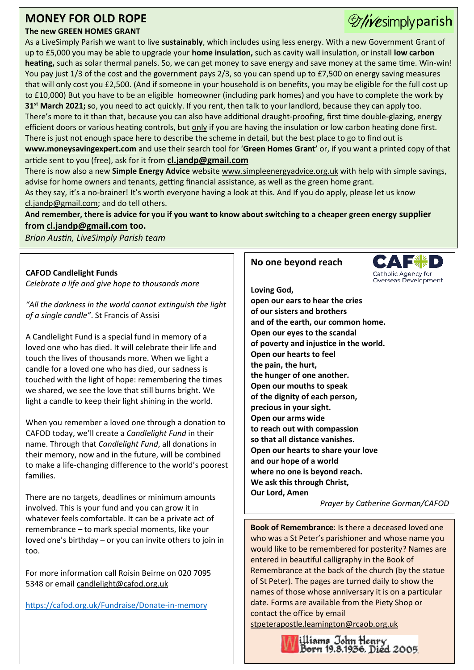# **MONEY FOR OLD ROPE**

# **The new GREEN HOMES GRANT**

As a LiveSimply Parish we want to live **sustainably**, which includes using less energy. With a new Government Grant of up to £5,000 you may be able to upgrade your **home insulation,** such as cavity wall insulation, or install **low carbon heating,** such as solar thermal panels. So, we can get money to save energy and save money at the same time. Win-win! You pay just 1/3 of the cost and the government pays 2/3, so you can spend up to £7,500 on energy saving measures that will only cost you £2,500. (And if someone in your household is on benefits, you may be eligible for the full cost up to £10,000) But you have to be an eligible homeowner (including park homes) and you have to complete the work by **31st March 2021; s**o, you need to act quickly. If you rent, then talk to your landlord, because they can apply too. There's more to it than that, because you can also have additional draught-proofing, first time double-glazing, energy efficient doors or various heating controls, but only if you are having the insulation or low carbon heating done first. There is just not enough space here to describe the scheme in detail, but the best place to go to find out is **[www.moneysavingexpert.com](http://www.moneysavingexpert.com/)** and use their search tool for '**Green Homes Grant'** or, if you want a printed copy of that article sent to you (free), ask for it from **[cl.jandp@gmail.com](mailto:cl.jandp@gmail.com)**

There is now also a new **Simple Energy Advice** websit[e www.simpleenergyadvice.org.uk](http://www.simpleenergyadvice.org.uk/) with help with simple savings, advise for home owners and tenants, getting financial assistance, as well as the green home grant.

As they say, it's a no-brainer! It's worth everyone having a look at this. And If you do apply, please let us know [cl.jandp@gmail.com;](file:///C:/Users/Windows8/AppData/Local/Packages/microsoft.windowscommunicationsapps_8wekyb3d8bbwe/LocalState/Files/S0/204/Attachments/cl.jandp@gmail.com) and do tell others.

**And remember, there is advice for you if you want to know about switching to a cheaper green energy supplier from [cl.jandp@gmail.com](mailto:cl.jandp@gmail.com) too.**

*Brian Austin, LiveSimply Parish team*

#### **CAFOD Candlelight Funds**

*Celebrate a life and give hope to thousands more*

*"All the darkness in the world cannot extinguish the light of a single candle"*. St Francis of Assisi

A Candlelight Fund is a special fund in memory of a loved one who has died. It will celebrate their life and touch the lives of thousands more. When we light a candle for a loved one who has died, our sadness is touched with the light of hope: remembering the times we shared, we see the love that still burns bright. We light a candle to keep their light shining in the world.

When you remember a loved one through a donation to CAFOD today, we'll create a *Candlelight Fund* in their name. Through that *Candlelight Fund*, all donations in their memory, now and in the future, will be combined to make a life-changing difference to the world's poorest families.

There are no targets, deadlines or minimum amounts involved. This is your fund and you can grow it in whatever feels comfortable. It can be a private act of remembrance – to mark special moments, like your loved one's birthday – or you can invite others to join in too.

For more information call Roisin Beirne on 020 7095 5348 or email [candlelight@cafod.org.uk](mailto:candlelight@cafod.org.uk)

<https://cafod.org.uk/Fundraise/Donate-in-memory>

#### **No one beyond reach**



Wesimply parish

**Loving God, open our ears to hear the cries of our sisters and brothers and of the earth, our common home. Open our eyes to the scandal of poverty and injustice in the world. Open our hearts to feel the pain, the hurt, the hunger of one another. Open our mouths to speak of the dignity of each person, precious in your sight. Open our arms wide to reach out with compassion so that all distance vanishes. Open our hearts to share your love and our hope of a world where no one is beyond reach. We ask this through Christ, Our Lord, Amen**

*Prayer by Catherine Gorman/CAFOD*

**Book of Remembrance**: Is there a deceased loved one who was a St Peter's parishioner and whose name you would like to be remembered for posterity? Names are entered in beautiful calligraphy in the Book of Remembrance at the back of the church (by the statue of St Peter). The pages are turned daily to show the names of those whose anniversary it is on a particular date. Forms are available from the Piety Shop or contact the office by email

[stpeterapostle.leamington@rcaob.org.uk](mailto:stpeterapostle.leamington@rcaob.org.uk)